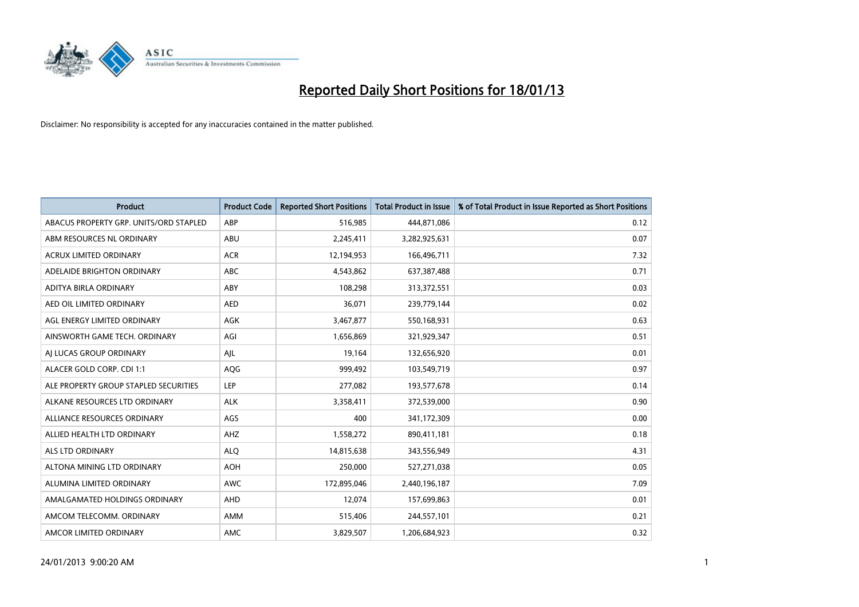

| <b>Product</b>                         | <b>Product Code</b> | <b>Reported Short Positions</b> | Total Product in Issue | % of Total Product in Issue Reported as Short Positions |
|----------------------------------------|---------------------|---------------------------------|------------------------|---------------------------------------------------------|
| ABACUS PROPERTY GRP. UNITS/ORD STAPLED | ABP                 | 516,985                         | 444,871,086            | 0.12                                                    |
| ABM RESOURCES NL ORDINARY              | ABU                 | 2,245,411                       | 3,282,925,631          | 0.07                                                    |
| <b>ACRUX LIMITED ORDINARY</b>          | <b>ACR</b>          | 12,194,953                      | 166,496,711            | 7.32                                                    |
| ADELAIDE BRIGHTON ORDINARY             | <b>ABC</b>          | 4,543,862                       | 637, 387, 488          | 0.71                                                    |
| <b>ADITYA BIRLA ORDINARY</b>           | ABY                 | 108.298                         | 313,372,551            | 0.03                                                    |
| AED OIL LIMITED ORDINARY               | <b>AED</b>          | 36,071                          | 239,779,144            | 0.02                                                    |
| AGL ENERGY LIMITED ORDINARY            | AGK                 | 3,467,877                       | 550,168,931            | 0.63                                                    |
| AINSWORTH GAME TECH. ORDINARY          | AGI                 | 1,656,869                       | 321,929,347            | 0.51                                                    |
| AJ LUCAS GROUP ORDINARY                | AJL                 | 19,164                          | 132,656,920            | 0.01                                                    |
| ALACER GOLD CORP. CDI 1:1              | AQG                 | 999,492                         | 103,549,719            | 0.97                                                    |
| ALE PROPERTY GROUP STAPLED SECURITIES  | <b>LEP</b>          | 277,082                         | 193,577,678            | 0.14                                                    |
| ALKANE RESOURCES LTD ORDINARY          | <b>ALK</b>          | 3,358,411                       | 372,539,000            | 0.90                                                    |
| ALLIANCE RESOURCES ORDINARY            | AGS                 | 400                             | 341,172,309            | 0.00                                                    |
| ALLIED HEALTH LTD ORDINARY             | AHZ                 | 1,558,272                       | 890,411,181            | 0.18                                                    |
| <b>ALS LTD ORDINARY</b>                | <b>ALO</b>          | 14,815,638                      | 343,556,949            | 4.31                                                    |
| ALTONA MINING LTD ORDINARY             | <b>AOH</b>          | 250,000                         | 527,271,038            | 0.05                                                    |
| ALUMINA LIMITED ORDINARY               | <b>AWC</b>          | 172,895,046                     | 2,440,196,187          | 7.09                                                    |
| AMALGAMATED HOLDINGS ORDINARY          | AHD                 | 12,074                          | 157,699,863            | 0.01                                                    |
| AMCOM TELECOMM, ORDINARY               | AMM                 | 515,406                         | 244,557,101            | 0.21                                                    |
| AMCOR LIMITED ORDINARY                 | <b>AMC</b>          | 3,829,507                       | 1,206,684,923          | 0.32                                                    |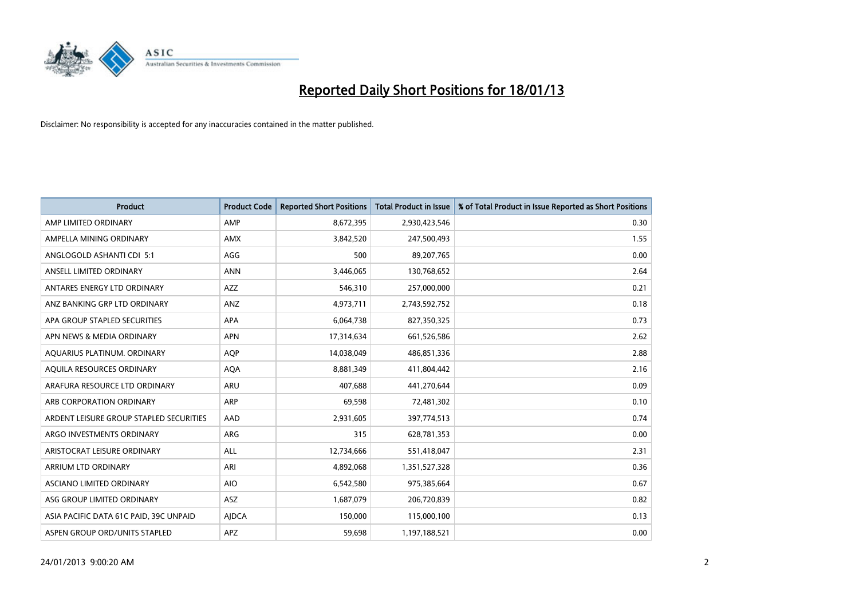

| <b>Product</b>                          | <b>Product Code</b> | <b>Reported Short Positions</b> | <b>Total Product in Issue</b> | % of Total Product in Issue Reported as Short Positions |
|-----------------------------------------|---------------------|---------------------------------|-------------------------------|---------------------------------------------------------|
| AMP LIMITED ORDINARY                    | AMP                 | 8,672,395                       | 2,930,423,546                 | 0.30                                                    |
| AMPELLA MINING ORDINARY                 | <b>AMX</b>          | 3,842,520                       | 247,500,493                   | 1.55                                                    |
| ANGLOGOLD ASHANTI CDI 5:1               | AGG                 | 500                             | 89,207,765                    | 0.00                                                    |
| ANSELL LIMITED ORDINARY                 | <b>ANN</b>          | 3,446,065                       | 130,768,652                   | 2.64                                                    |
| ANTARES ENERGY LTD ORDINARY             | <b>AZZ</b>          | 546,310                         | 257,000,000                   | 0.21                                                    |
| ANZ BANKING GRP LTD ORDINARY            | ANZ                 | 4,973,711                       | 2,743,592,752                 | 0.18                                                    |
| APA GROUP STAPLED SECURITIES            | <b>APA</b>          | 6,064,738                       | 827,350,325                   | 0.73                                                    |
| APN NEWS & MEDIA ORDINARY               | <b>APN</b>          | 17,314,634                      | 661,526,586                   | 2.62                                                    |
| AQUARIUS PLATINUM. ORDINARY             | <b>AQP</b>          | 14,038,049                      | 486,851,336                   | 2.88                                                    |
| AQUILA RESOURCES ORDINARY               | <b>AQA</b>          | 8,881,349                       | 411,804,442                   | 2.16                                                    |
| ARAFURA RESOURCE LTD ORDINARY           | <b>ARU</b>          | 407,688                         | 441,270,644                   | 0.09                                                    |
| ARB CORPORATION ORDINARY                | <b>ARP</b>          | 69,598                          | 72,481,302                    | 0.10                                                    |
| ARDENT LEISURE GROUP STAPLED SECURITIES | AAD                 | 2,931,605                       | 397,774,513                   | 0.74                                                    |
| ARGO INVESTMENTS ORDINARY               | ARG                 | 315                             | 628,781,353                   | 0.00                                                    |
| ARISTOCRAT LEISURE ORDINARY             | <b>ALL</b>          | 12,734,666                      | 551,418,047                   | 2.31                                                    |
| ARRIUM LTD ORDINARY                     | ARI                 | 4,892,068                       | 1,351,527,328                 | 0.36                                                    |
| ASCIANO LIMITED ORDINARY                | <b>AIO</b>          | 6,542,580                       | 975,385,664                   | 0.67                                                    |
| ASG GROUP LIMITED ORDINARY              | <b>ASZ</b>          | 1,687,079                       | 206,720,839                   | 0.82                                                    |
| ASIA PACIFIC DATA 61C PAID, 39C UNPAID  | <b>AIDCA</b>        | 150,000                         | 115,000,100                   | 0.13                                                    |
| ASPEN GROUP ORD/UNITS STAPLED           | <b>APZ</b>          | 59,698                          | 1,197,188,521                 | 0.00                                                    |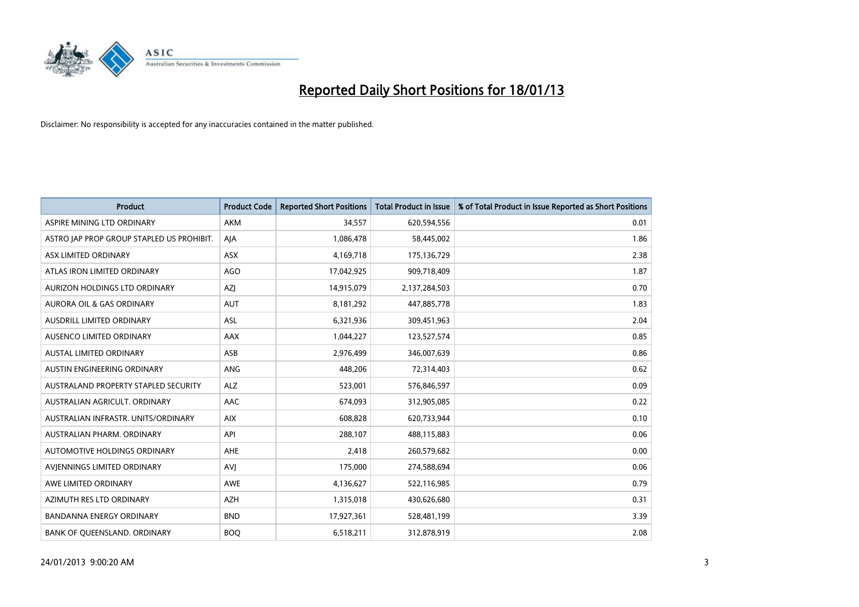

| <b>Product</b>                            | <b>Product Code</b> | <b>Reported Short Positions</b> | <b>Total Product in Issue</b> | % of Total Product in Issue Reported as Short Positions |
|-------------------------------------------|---------------------|---------------------------------|-------------------------------|---------------------------------------------------------|
| ASPIRE MINING LTD ORDINARY                | <b>AKM</b>          | 34,557                          | 620,594,556                   | 0.01                                                    |
| ASTRO JAP PROP GROUP STAPLED US PROHIBIT. | AJA                 | 1,086,478                       | 58,445,002                    | 1.86                                                    |
| ASX LIMITED ORDINARY                      | <b>ASX</b>          | 4,169,718                       | 175,136,729                   | 2.38                                                    |
| ATLAS IRON LIMITED ORDINARY               | AGO                 | 17,042,925                      | 909,718,409                   | 1.87                                                    |
| AURIZON HOLDINGS LTD ORDINARY             | <b>AZI</b>          | 14,915,079                      | 2,137,284,503                 | 0.70                                                    |
| <b>AURORA OIL &amp; GAS ORDINARY</b>      | <b>AUT</b>          | 8,181,292                       | 447,885,778                   | 1.83                                                    |
| AUSDRILL LIMITED ORDINARY                 | <b>ASL</b>          | 6,321,936                       | 309,451,963                   | 2.04                                                    |
| AUSENCO LIMITED ORDINARY                  | AAX                 | 1,044,227                       | 123,527,574                   | 0.85                                                    |
| <b>AUSTAL LIMITED ORDINARY</b>            | ASB                 | 2,976,499                       | 346,007,639                   | 0.86                                                    |
| AUSTIN ENGINEERING ORDINARY               | ANG                 | 448,206                         | 72,314,403                    | 0.62                                                    |
| AUSTRALAND PROPERTY STAPLED SECURITY      | <b>ALZ</b>          | 523,001                         | 576,846,597                   | 0.09                                                    |
| AUSTRALIAN AGRICULT, ORDINARY             | AAC                 | 674,093                         | 312,905,085                   | 0.22                                                    |
| AUSTRALIAN INFRASTR. UNITS/ORDINARY       | <b>AIX</b>          | 608,828                         | 620,733,944                   | 0.10                                                    |
| AUSTRALIAN PHARM. ORDINARY                | API                 | 288,107                         | 488,115,883                   | 0.06                                                    |
| AUTOMOTIVE HOLDINGS ORDINARY              | <b>AHE</b>          | 2,418                           | 260,579,682                   | 0.00                                                    |
| AVIENNINGS LIMITED ORDINARY               | AVI                 | 175,000                         | 274,588,694                   | 0.06                                                    |
| AWE LIMITED ORDINARY                      | AWE                 | 4,136,627                       | 522,116,985                   | 0.79                                                    |
| AZIMUTH RES LTD ORDINARY                  | <b>AZH</b>          | 1,315,018                       | 430,626,680                   | 0.31                                                    |
| <b>BANDANNA ENERGY ORDINARY</b>           | <b>BND</b>          | 17,927,361                      | 528,481,199                   | 3.39                                                    |
| BANK OF QUEENSLAND. ORDINARY              | <b>BOQ</b>          | 6,518,211                       | 312,878,919                   | 2.08                                                    |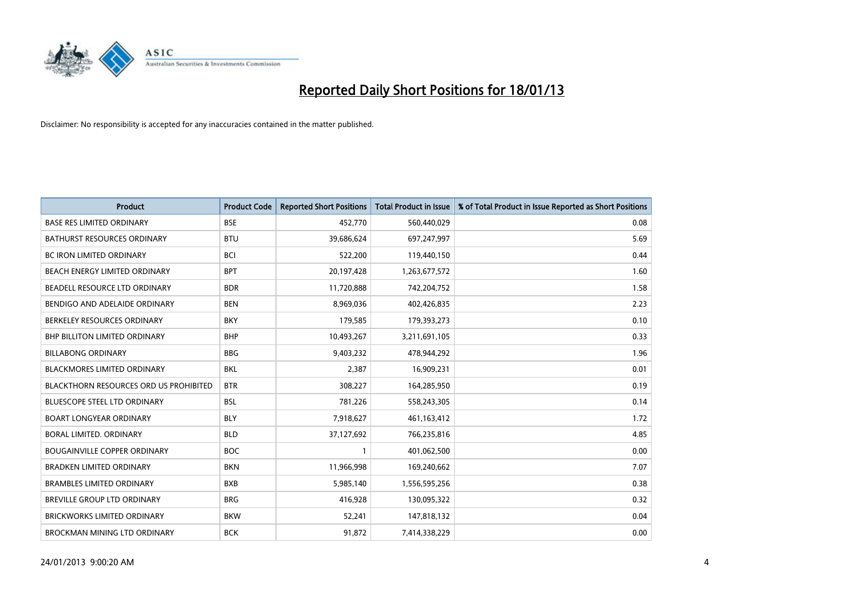

| <b>Product</b>                                | <b>Product Code</b> | <b>Reported Short Positions</b> | <b>Total Product in Issue</b> | % of Total Product in Issue Reported as Short Positions |
|-----------------------------------------------|---------------------|---------------------------------|-------------------------------|---------------------------------------------------------|
| <b>BASE RES LIMITED ORDINARY</b>              | <b>BSE</b>          | 452,770                         | 560,440,029                   | 0.08                                                    |
| <b>BATHURST RESOURCES ORDINARY</b>            | <b>BTU</b>          | 39,686,624                      | 697,247,997                   | 5.69                                                    |
| <b>BC IRON LIMITED ORDINARY</b>               | <b>BCI</b>          | 522,200                         | 119,440,150                   | 0.44                                                    |
| BEACH ENERGY LIMITED ORDINARY                 | <b>BPT</b>          | 20,197,428                      | 1,263,677,572                 | 1.60                                                    |
| BEADELL RESOURCE LTD ORDINARY                 | <b>BDR</b>          | 11,720,888                      | 742,204,752                   | 1.58                                                    |
| BENDIGO AND ADELAIDE ORDINARY                 | <b>BEN</b>          | 8,969,036                       | 402,426,835                   | 2.23                                                    |
| BERKELEY RESOURCES ORDINARY                   | <b>BKY</b>          | 179,585                         | 179,393,273                   | 0.10                                                    |
| <b>BHP BILLITON LIMITED ORDINARY</b>          | <b>BHP</b>          | 10,493,267                      | 3,211,691,105                 | 0.33                                                    |
| <b>BILLABONG ORDINARY</b>                     | <b>BBG</b>          | 9,403,232                       | 478,944,292                   | 1.96                                                    |
| <b>BLACKMORES LIMITED ORDINARY</b>            | <b>BKL</b>          | 2,387                           | 16,909,231                    | 0.01                                                    |
| <b>BLACKTHORN RESOURCES ORD US PROHIBITED</b> | <b>BTR</b>          | 308,227                         | 164,285,950                   | 0.19                                                    |
| BLUESCOPE STEEL LTD ORDINARY                  | <b>BSL</b>          | 781,226                         | 558,243,305                   | 0.14                                                    |
| <b>BOART LONGYEAR ORDINARY</b>                | <b>BLY</b>          | 7,918,627                       | 461,163,412                   | 1.72                                                    |
| BORAL LIMITED, ORDINARY                       | <b>BLD</b>          | 37,127,692                      | 766,235,816                   | 4.85                                                    |
| <b>BOUGAINVILLE COPPER ORDINARY</b>           | <b>BOC</b>          |                                 | 401,062,500                   | 0.00                                                    |
| <b>BRADKEN LIMITED ORDINARY</b>               | <b>BKN</b>          | 11,966,998                      | 169,240,662                   | 7.07                                                    |
| <b>BRAMBLES LIMITED ORDINARY</b>              | <b>BXB</b>          | 5,985,140                       | 1,556,595,256                 | 0.38                                                    |
| BREVILLE GROUP LTD ORDINARY                   | <b>BRG</b>          | 416,928                         | 130,095,322                   | 0.32                                                    |
| <b>BRICKWORKS LIMITED ORDINARY</b>            | <b>BKW</b>          | 52,241                          | 147,818,132                   | 0.04                                                    |
| BROCKMAN MINING LTD ORDINARY                  | <b>BCK</b>          | 91,872                          | 7,414,338,229                 | 0.00                                                    |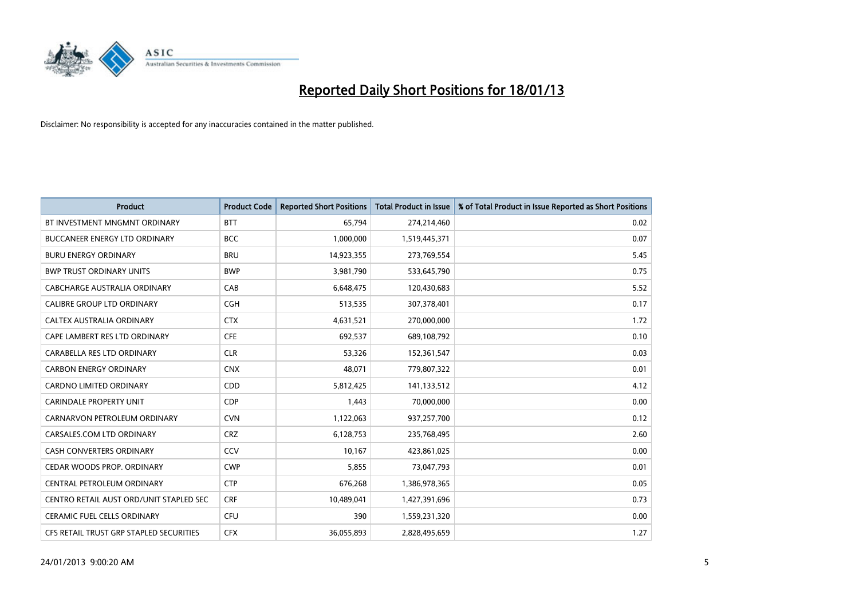

| <b>Product</b>                          | <b>Product Code</b> | <b>Reported Short Positions</b> | <b>Total Product in Issue</b> | % of Total Product in Issue Reported as Short Positions |
|-----------------------------------------|---------------------|---------------------------------|-------------------------------|---------------------------------------------------------|
| BT INVESTMENT MNGMNT ORDINARY           | <b>BTT</b>          | 65,794                          | 274,214,460                   | 0.02                                                    |
| <b>BUCCANEER ENERGY LTD ORDINARY</b>    | <b>BCC</b>          | 1,000,000                       | 1,519,445,371                 | 0.07                                                    |
| <b>BURU ENERGY ORDINARY</b>             | <b>BRU</b>          | 14,923,355                      | 273,769,554                   | 5.45                                                    |
| <b>BWP TRUST ORDINARY UNITS</b>         | <b>BWP</b>          | 3,981,790                       | 533,645,790                   | 0.75                                                    |
| <b>CABCHARGE AUSTRALIA ORDINARY</b>     | CAB                 | 6,648,475                       | 120,430,683                   | 5.52                                                    |
| <b>CALIBRE GROUP LTD ORDINARY</b>       | <b>CGH</b>          | 513,535                         | 307,378,401                   | 0.17                                                    |
| CALTEX AUSTRALIA ORDINARY               | <b>CTX</b>          | 4,631,521                       | 270,000,000                   | 1.72                                                    |
| CAPE LAMBERT RES LTD ORDINARY           | <b>CFE</b>          | 692,537                         | 689,108,792                   | 0.10                                                    |
| CARABELLA RES LTD ORDINARY              | <b>CLR</b>          | 53,326                          | 152,361,547                   | 0.03                                                    |
| <b>CARBON ENERGY ORDINARY</b>           | <b>CNX</b>          | 48,071                          | 779,807,322                   | 0.01                                                    |
| <b>CARDNO LIMITED ORDINARY</b>          | CDD                 | 5,812,425                       | 141,133,512                   | 4.12                                                    |
| <b>CARINDALE PROPERTY UNIT</b>          | <b>CDP</b>          | 1,443                           | 70,000,000                    | 0.00                                                    |
| CARNARVON PETROLEUM ORDINARY            | <b>CVN</b>          | 1,122,063                       | 937,257,700                   | 0.12                                                    |
| CARSALES.COM LTD ORDINARY               | <b>CRZ</b>          | 6,128,753                       | 235,768,495                   | 2.60                                                    |
| <b>CASH CONVERTERS ORDINARY</b>         | CCV                 | 10,167                          | 423,861,025                   | 0.00                                                    |
| CEDAR WOODS PROP. ORDINARY              | <b>CWP</b>          | 5,855                           | 73,047,793                    | 0.01                                                    |
| CENTRAL PETROLEUM ORDINARY              | <b>CTP</b>          | 676,268                         | 1,386,978,365                 | 0.05                                                    |
| CENTRO RETAIL AUST ORD/UNIT STAPLED SEC | <b>CRF</b>          | 10,489,041                      | 1,427,391,696                 | 0.73                                                    |
| <b>CERAMIC FUEL CELLS ORDINARY</b>      | <b>CFU</b>          | 390                             | 1,559,231,320                 | 0.00                                                    |
| CFS RETAIL TRUST GRP STAPLED SECURITIES | <b>CFX</b>          | 36,055,893                      | 2,828,495,659                 | 1.27                                                    |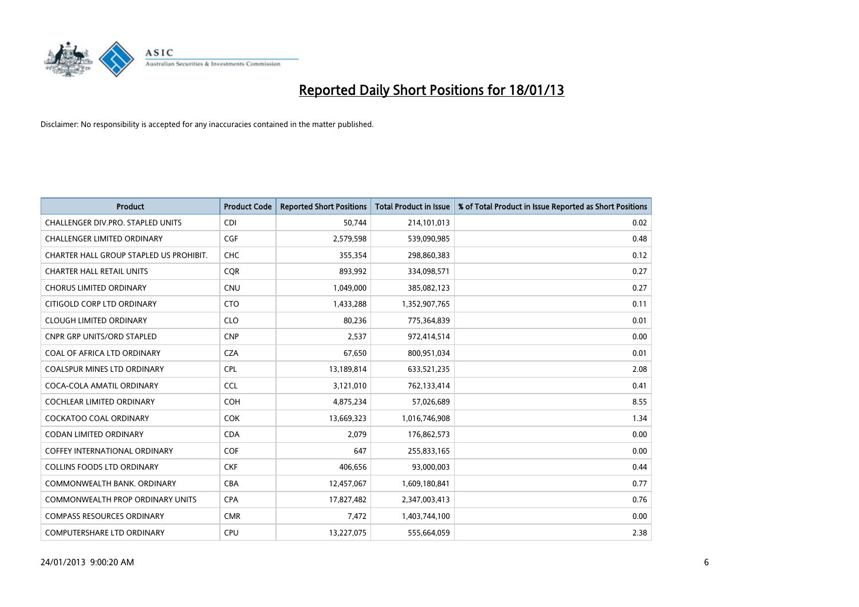

| <b>Product</b>                          | <b>Product Code</b> | <b>Reported Short Positions</b> | <b>Total Product in Issue</b> | % of Total Product in Issue Reported as Short Positions |
|-----------------------------------------|---------------------|---------------------------------|-------------------------------|---------------------------------------------------------|
| CHALLENGER DIV.PRO. STAPLED UNITS       | <b>CDI</b>          | 50,744                          | 214,101,013                   | 0.02                                                    |
| CHALLENGER LIMITED ORDINARY             | <b>CGF</b>          | 2,579,598                       | 539,090,985                   | 0.48                                                    |
| CHARTER HALL GROUP STAPLED US PROHIBIT. | <b>CHC</b>          | 355,354                         | 298,860,383                   | 0.12                                                    |
| <b>CHARTER HALL RETAIL UNITS</b>        | <b>CQR</b>          | 893,992                         | 334,098,571                   | 0.27                                                    |
| <b>CHORUS LIMITED ORDINARY</b>          | <b>CNU</b>          | 1,049,000                       | 385,082,123                   | 0.27                                                    |
| CITIGOLD CORP LTD ORDINARY              | <b>CTO</b>          | 1,433,288                       | 1,352,907,765                 | 0.11                                                    |
| <b>CLOUGH LIMITED ORDINARY</b>          | <b>CLO</b>          | 80,236                          | 775,364,839                   | 0.01                                                    |
| <b>CNPR GRP UNITS/ORD STAPLED</b>       | <b>CNP</b>          | 2,537                           | 972,414,514                   | 0.00                                                    |
| COAL OF AFRICA LTD ORDINARY             | <b>CZA</b>          | 67,650                          | 800,951,034                   | 0.01                                                    |
| <b>COALSPUR MINES LTD ORDINARY</b>      | <b>CPL</b>          | 13,189,814                      | 633,521,235                   | 2.08                                                    |
| COCA-COLA AMATIL ORDINARY               | <b>CCL</b>          | 3,121,010                       | 762,133,414                   | 0.41                                                    |
| <b>COCHLEAR LIMITED ORDINARY</b>        | <b>COH</b>          | 4,875,234                       | 57,026,689                    | 8.55                                                    |
| <b>COCKATOO COAL ORDINARY</b>           | <b>COK</b>          | 13,669,323                      | 1,016,746,908                 | 1.34                                                    |
| <b>CODAN LIMITED ORDINARY</b>           | <b>CDA</b>          | 2,079                           | 176,862,573                   | 0.00                                                    |
| <b>COFFEY INTERNATIONAL ORDINARY</b>    | <b>COF</b>          | 647                             | 255,833,165                   | 0.00                                                    |
| <b>COLLINS FOODS LTD ORDINARY</b>       | <b>CKF</b>          | 406.656                         | 93,000,003                    | 0.44                                                    |
| COMMONWEALTH BANK, ORDINARY             | CBA                 | 12,457,067                      | 1,609,180,841                 | 0.77                                                    |
| COMMONWEALTH PROP ORDINARY UNITS        | <b>CPA</b>          | 17,827,482                      | 2,347,003,413                 | 0.76                                                    |
| <b>COMPASS RESOURCES ORDINARY</b>       | <b>CMR</b>          | 7,472                           | 1,403,744,100                 | 0.00                                                    |
| COMPUTERSHARE LTD ORDINARY              | <b>CPU</b>          | 13,227,075                      | 555,664,059                   | 2.38                                                    |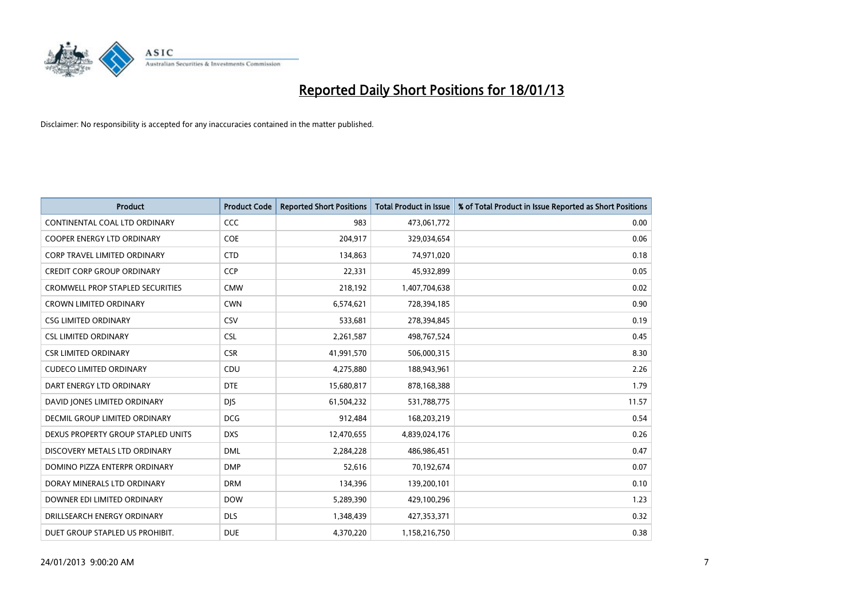

| <b>Product</b>                          | <b>Product Code</b> | <b>Reported Short Positions</b> | Total Product in Issue | % of Total Product in Issue Reported as Short Positions |
|-----------------------------------------|---------------------|---------------------------------|------------------------|---------------------------------------------------------|
| CONTINENTAL COAL LTD ORDINARY           | <b>CCC</b>          | 983                             | 473,061,772            | 0.00                                                    |
| COOPER ENERGY LTD ORDINARY              | <b>COE</b>          | 204,917                         | 329,034,654            | 0.06                                                    |
| <b>CORP TRAVEL LIMITED ORDINARY</b>     | <b>CTD</b>          | 134,863                         | 74,971,020             | 0.18                                                    |
| <b>CREDIT CORP GROUP ORDINARY</b>       | <b>CCP</b>          | 22,331                          | 45,932,899             | 0.05                                                    |
| <b>CROMWELL PROP STAPLED SECURITIES</b> | <b>CMW</b>          | 218,192                         | 1,407,704,638          | 0.02                                                    |
| <b>CROWN LIMITED ORDINARY</b>           | <b>CWN</b>          | 6,574,621                       | 728,394,185            | 0.90                                                    |
| <b>CSG LIMITED ORDINARY</b>             | CSV                 | 533,681                         | 278,394,845            | 0.19                                                    |
| <b>CSL LIMITED ORDINARY</b>             | <b>CSL</b>          | 2,261,587                       | 498,767,524            | 0.45                                                    |
| <b>CSR LIMITED ORDINARY</b>             | <b>CSR</b>          | 41,991,570                      | 506,000,315            | 8.30                                                    |
| <b>CUDECO LIMITED ORDINARY</b>          | CDU                 | 4,275,880                       | 188,943,961            | 2.26                                                    |
| DART ENERGY LTD ORDINARY                | <b>DTE</b>          | 15,680,817                      | 878,168,388            | 1.79                                                    |
| DAVID JONES LIMITED ORDINARY            | <b>DJS</b>          | 61,504,232                      | 531,788,775            | 11.57                                                   |
| DECMIL GROUP LIMITED ORDINARY           | <b>DCG</b>          | 912,484                         | 168,203,219            | 0.54                                                    |
| DEXUS PROPERTY GROUP STAPLED UNITS      | <b>DXS</b>          | 12,470,655                      | 4,839,024,176          | 0.26                                                    |
| DISCOVERY METALS LTD ORDINARY           | <b>DML</b>          | 2,284,228                       | 486,986,451            | 0.47                                                    |
| DOMINO PIZZA ENTERPR ORDINARY           | <b>DMP</b>          | 52,616                          | 70,192,674             | 0.07                                                    |
| DORAY MINERALS LTD ORDINARY             | <b>DRM</b>          | 134,396                         | 139,200,101            | 0.10                                                    |
| DOWNER EDI LIMITED ORDINARY             | <b>DOW</b>          | 5,289,390                       | 429,100,296            | 1.23                                                    |
| DRILLSEARCH ENERGY ORDINARY             | <b>DLS</b>          | 1,348,439                       | 427,353,371            | 0.32                                                    |
| DUET GROUP STAPLED US PROHIBIT.         | <b>DUE</b>          | 4,370,220                       | 1,158,216,750          | 0.38                                                    |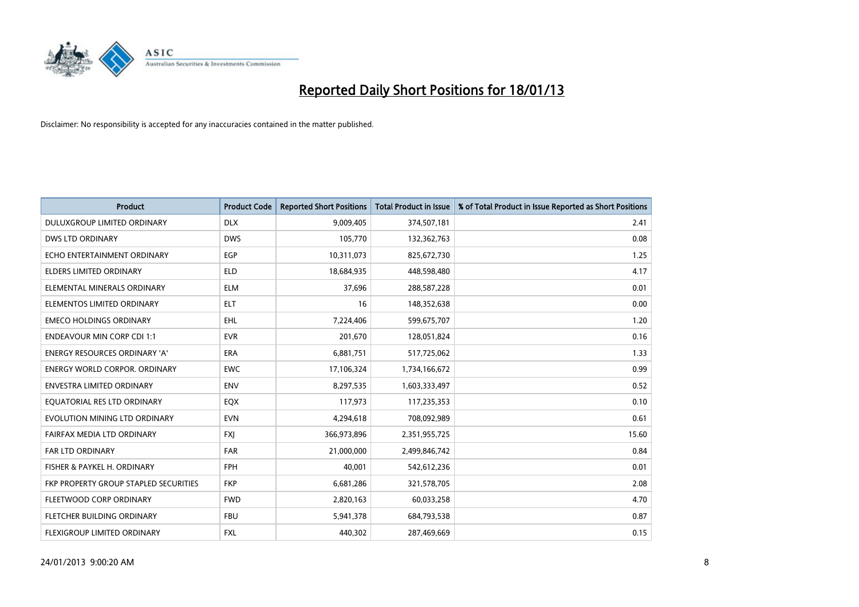

| <b>Product</b>                        | <b>Product Code</b> | <b>Reported Short Positions</b> | <b>Total Product in Issue</b> | % of Total Product in Issue Reported as Short Positions |
|---------------------------------------|---------------------|---------------------------------|-------------------------------|---------------------------------------------------------|
| DULUXGROUP LIMITED ORDINARY           | <b>DLX</b>          | 9,009,405                       | 374,507,181                   | 2.41                                                    |
| DWS LTD ORDINARY                      | <b>DWS</b>          | 105,770                         | 132,362,763                   | 0.08                                                    |
| ECHO ENTERTAINMENT ORDINARY           | EGP                 | 10,311,073                      | 825,672,730                   | 1.25                                                    |
| ELDERS LIMITED ORDINARY               | <b>ELD</b>          | 18,684,935                      | 448,598,480                   | 4.17                                                    |
| ELEMENTAL MINERALS ORDINARY           | <b>ELM</b>          | 37,696                          | 288,587,228                   | 0.01                                                    |
| ELEMENTOS LIMITED ORDINARY            | <b>ELT</b>          | 16                              | 148,352,638                   | 0.00                                                    |
| <b>EMECO HOLDINGS ORDINARY</b>        | <b>EHL</b>          | 7,224,406                       | 599,675,707                   | 1.20                                                    |
| <b>ENDEAVOUR MIN CORP CDI 1:1</b>     | <b>EVR</b>          | 201,670                         | 128,051,824                   | 0.16                                                    |
| ENERGY RESOURCES ORDINARY 'A'         | ERA                 | 6,881,751                       | 517,725,062                   | 1.33                                                    |
| <b>ENERGY WORLD CORPOR, ORDINARY</b>  | <b>EWC</b>          | 17,106,324                      | 1,734,166,672                 | 0.99                                                    |
| ENVESTRA LIMITED ORDINARY             | <b>ENV</b>          | 8,297,535                       | 1,603,333,497                 | 0.52                                                    |
| EQUATORIAL RES LTD ORDINARY           | <b>EQX</b>          | 117,973                         | 117,235,353                   | 0.10                                                    |
| EVOLUTION MINING LTD ORDINARY         | <b>EVN</b>          | 4,294,618                       | 708,092,989                   | 0.61                                                    |
| FAIRFAX MEDIA LTD ORDINARY            | <b>FXI</b>          | 366,973,896                     | 2,351,955,725                 | 15.60                                                   |
| <b>FAR LTD ORDINARY</b>               | <b>FAR</b>          | 21,000,000                      | 2,499,846,742                 | 0.84                                                    |
| FISHER & PAYKEL H. ORDINARY           | <b>FPH</b>          | 40,001                          | 542,612,236                   | 0.01                                                    |
| FKP PROPERTY GROUP STAPLED SECURITIES | <b>FKP</b>          | 6,681,286                       | 321,578,705                   | 2.08                                                    |
| FLEETWOOD CORP ORDINARY               | <b>FWD</b>          | 2,820,163                       | 60,033,258                    | 4.70                                                    |
| FLETCHER BUILDING ORDINARY            | <b>FBU</b>          | 5,941,378                       | 684,793,538                   | 0.87                                                    |
| <b>FLEXIGROUP LIMITED ORDINARY</b>    | <b>FXL</b>          | 440.302                         | 287,469,669                   | 0.15                                                    |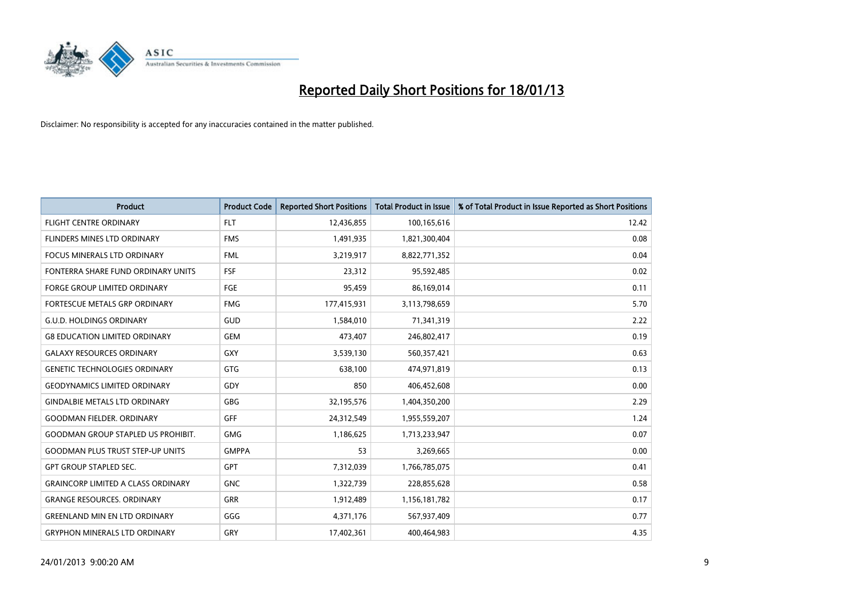

| <b>Product</b>                            | <b>Product Code</b> | <b>Reported Short Positions</b> | <b>Total Product in Issue</b> | % of Total Product in Issue Reported as Short Positions |
|-------------------------------------------|---------------------|---------------------------------|-------------------------------|---------------------------------------------------------|
| <b>FLIGHT CENTRE ORDINARY</b>             | <b>FLT</b>          | 12,436,855                      | 100,165,616                   | 12.42                                                   |
| <b>FLINDERS MINES LTD ORDINARY</b>        | <b>FMS</b>          | 1,491,935                       | 1,821,300,404                 | 0.08                                                    |
| <b>FOCUS MINERALS LTD ORDINARY</b>        | <b>FML</b>          | 3,219,917                       | 8,822,771,352                 | 0.04                                                    |
| FONTERRA SHARE FUND ORDINARY UNITS        | <b>FSF</b>          | 23,312                          | 95,592,485                    | 0.02                                                    |
| <b>FORGE GROUP LIMITED ORDINARY</b>       | FGE                 | 95,459                          | 86,169,014                    | 0.11                                                    |
| FORTESCUE METALS GRP ORDINARY             | <b>FMG</b>          | 177,415,931                     | 3,113,798,659                 | 5.70                                                    |
| <b>G.U.D. HOLDINGS ORDINARY</b>           | GUD                 | 1,584,010                       | 71,341,319                    | 2.22                                                    |
| <b>G8 EDUCATION LIMITED ORDINARY</b>      | <b>GEM</b>          | 473,407                         | 246,802,417                   | 0.19                                                    |
| <b>GALAXY RESOURCES ORDINARY</b>          | <b>GXY</b>          | 3,539,130                       | 560,357,421                   | 0.63                                                    |
| <b>GENETIC TECHNOLOGIES ORDINARY</b>      | <b>GTG</b>          | 638.100                         | 474,971,819                   | 0.13                                                    |
| <b>GEODYNAMICS LIMITED ORDINARY</b>       | GDY                 | 850                             | 406,452,608                   | 0.00                                                    |
| <b>GINDALBIE METALS LTD ORDINARY</b>      | <b>GBG</b>          | 32,195,576                      | 1,404,350,200                 | 2.29                                                    |
| <b>GOODMAN FIELDER, ORDINARY</b>          | GFF                 | 24,312,549                      | 1,955,559,207                 | 1.24                                                    |
| <b>GOODMAN GROUP STAPLED US PROHIBIT.</b> | <b>GMG</b>          | 1,186,625                       | 1,713,233,947                 | 0.07                                                    |
| <b>GOODMAN PLUS TRUST STEP-UP UNITS</b>   | <b>GMPPA</b>        | 53                              | 3,269,665                     | 0.00                                                    |
| <b>GPT GROUP STAPLED SEC.</b>             | <b>GPT</b>          | 7,312,039                       | 1,766,785,075                 | 0.41                                                    |
| <b>GRAINCORP LIMITED A CLASS ORDINARY</b> | <b>GNC</b>          | 1,322,739                       | 228,855,628                   | 0.58                                                    |
| <b>GRANGE RESOURCES. ORDINARY</b>         | <b>GRR</b>          | 1,912,489                       | 1,156,181,782                 | 0.17                                                    |
| <b>GREENLAND MIN EN LTD ORDINARY</b>      | GGG                 | 4,371,176                       | 567,937,409                   | 0.77                                                    |
| <b>GRYPHON MINERALS LTD ORDINARY</b>      | GRY                 | 17,402,361                      | 400.464.983                   | 4.35                                                    |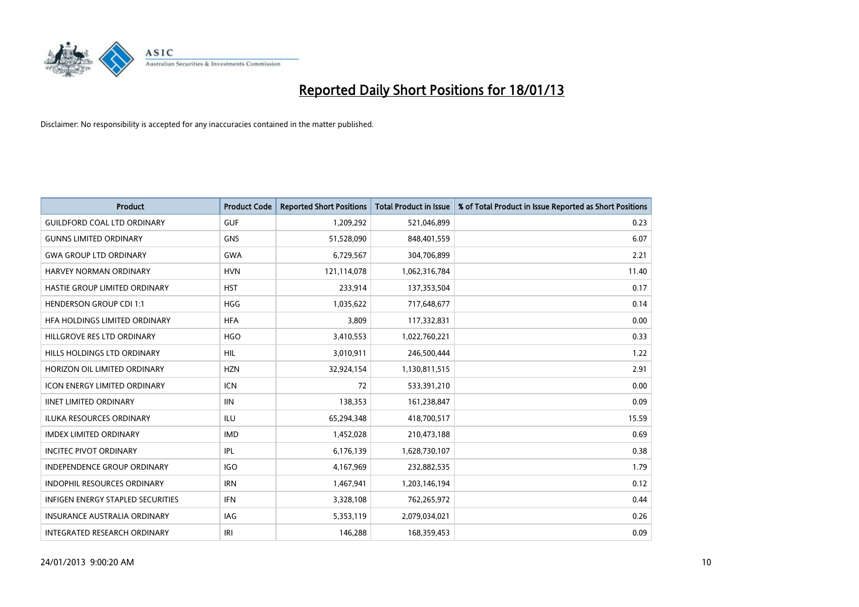

| <b>Product</b>                      | <b>Product Code</b> | <b>Reported Short Positions</b> | <b>Total Product in Issue</b> | % of Total Product in Issue Reported as Short Positions |
|-------------------------------------|---------------------|---------------------------------|-------------------------------|---------------------------------------------------------|
| <b>GUILDFORD COAL LTD ORDINARY</b>  | <b>GUF</b>          | 1,209,292                       | 521,046,899                   | 0.23                                                    |
| <b>GUNNS LIMITED ORDINARY</b>       | <b>GNS</b>          | 51,528,090                      | 848,401,559                   | 6.07                                                    |
| <b>GWA GROUP LTD ORDINARY</b>       | <b>GWA</b>          | 6,729,567                       | 304,706,899                   | 2.21                                                    |
| HARVEY NORMAN ORDINARY              | <b>HVN</b>          | 121,114,078                     | 1,062,316,784                 | 11.40                                                   |
| HASTIE GROUP LIMITED ORDINARY       | <b>HST</b>          | 233,914                         | 137,353,504                   | 0.17                                                    |
| <b>HENDERSON GROUP CDI 1:1</b>      | <b>HGG</b>          | 1,035,622                       | 717,648,677                   | 0.14                                                    |
| HFA HOLDINGS LIMITED ORDINARY       | <b>HFA</b>          | 3,809                           | 117,332,831                   | 0.00                                                    |
| HILLGROVE RES LTD ORDINARY          | <b>HGO</b>          | 3,410,553                       | 1,022,760,221                 | 0.33                                                    |
| HILLS HOLDINGS LTD ORDINARY         | <b>HIL</b>          | 3,010,911                       | 246,500,444                   | 1.22                                                    |
| HORIZON OIL LIMITED ORDINARY        | <b>HZN</b>          | 32,924,154                      | 1,130,811,515                 | 2.91                                                    |
| <b>ICON ENERGY LIMITED ORDINARY</b> | <b>ICN</b>          | 72                              | 533,391,210                   | 0.00                                                    |
| <b>IINET LIMITED ORDINARY</b>       | <b>IIN</b>          | 138,353                         | 161,238,847                   | 0.09                                                    |
| <b>ILUKA RESOURCES ORDINARY</b>     | ILU                 | 65,294,348                      | 418,700,517                   | 15.59                                                   |
| <b>IMDEX LIMITED ORDINARY</b>       | <b>IMD</b>          | 1,452,028                       | 210,473,188                   | 0.69                                                    |
| <b>INCITEC PIVOT ORDINARY</b>       | <b>IPL</b>          | 6,176,139                       | 1,628,730,107                 | 0.38                                                    |
| <b>INDEPENDENCE GROUP ORDINARY</b>  | <b>IGO</b>          | 4,167,969                       | 232,882,535                   | 1.79                                                    |
| <b>INDOPHIL RESOURCES ORDINARY</b>  | <b>IRN</b>          | 1,467,941                       | 1,203,146,194                 | 0.12                                                    |
| INFIGEN ENERGY STAPLED SECURITIES   | <b>IFN</b>          | 3,328,108                       | 762,265,972                   | 0.44                                                    |
| <b>INSURANCE AUSTRALIA ORDINARY</b> | IAG                 | 5,353,119                       | 2,079,034,021                 | 0.26                                                    |
| <b>INTEGRATED RESEARCH ORDINARY</b> | IRI                 | 146.288                         | 168,359,453                   | 0.09                                                    |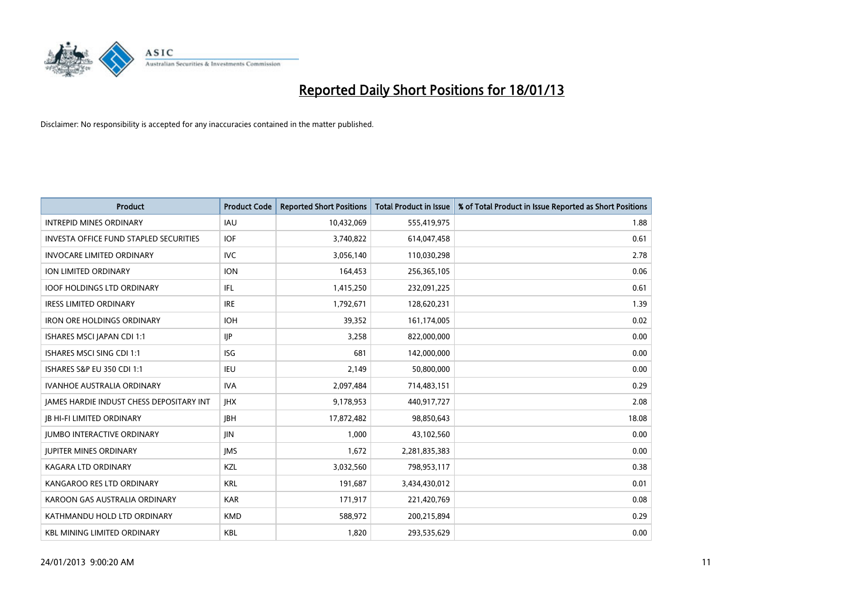

| <b>Product</b>                                  | <b>Product Code</b> | <b>Reported Short Positions</b> | <b>Total Product in Issue</b> | % of Total Product in Issue Reported as Short Positions |
|-------------------------------------------------|---------------------|---------------------------------|-------------------------------|---------------------------------------------------------|
| <b>INTREPID MINES ORDINARY</b>                  | <b>IAU</b>          | 10,432,069                      | 555,419,975                   | 1.88                                                    |
| <b>INVESTA OFFICE FUND STAPLED SECURITIES</b>   | <b>IOF</b>          | 3,740,822                       | 614,047,458                   | 0.61                                                    |
| <b>INVOCARE LIMITED ORDINARY</b>                | IVC                 | 3,056,140                       | 110,030,298                   | 2.78                                                    |
| <b>ION LIMITED ORDINARY</b>                     | <b>ION</b>          | 164,453                         | 256,365,105                   | 0.06                                                    |
| <b>IOOF HOLDINGS LTD ORDINARY</b>               | IFL.                | 1,415,250                       | 232,091,225                   | 0.61                                                    |
| <b>IRESS LIMITED ORDINARY</b>                   | <b>IRE</b>          | 1,792,671                       | 128,620,231                   | 1.39                                                    |
| <b>IRON ORE HOLDINGS ORDINARY</b>               | <b>IOH</b>          | 39,352                          | 161,174,005                   | 0.02                                                    |
| ISHARES MSCI JAPAN CDI 1:1                      | <b>IJP</b>          | 3,258                           | 822,000,000                   | 0.00                                                    |
| ISHARES MSCI SING CDI 1:1                       | <b>ISG</b>          | 681                             | 142,000,000                   | 0.00                                                    |
| <b>ISHARES S&amp;P EU 350 CDI 1:1</b>           | IEU                 | 2,149                           | 50,800,000                    | 0.00                                                    |
| <b>IVANHOE AUSTRALIA ORDINARY</b>               | <b>IVA</b>          | 2,097,484                       | 714,483,151                   | 0.29                                                    |
| <b>JAMES HARDIE INDUST CHESS DEPOSITARY INT</b> | <b>IHX</b>          | 9,178,953                       | 440,917,727                   | 2.08                                                    |
| <b>IB HI-FI LIMITED ORDINARY</b>                | <b>JBH</b>          | 17,872,482                      | 98,850,643                    | 18.08                                                   |
| <b>JUMBO INTERACTIVE ORDINARY</b>               | <b>JIN</b>          | 1,000                           | 43,102,560                    | 0.00                                                    |
| <b>JUPITER MINES ORDINARY</b>                   | <b>IMS</b>          | 1,672                           | 2,281,835,383                 | 0.00                                                    |
| <b>KAGARA LTD ORDINARY</b>                      | KZL                 | 3,032,560                       | 798,953,117                   | 0.38                                                    |
| KANGAROO RES LTD ORDINARY                       | <b>KRL</b>          | 191,687                         | 3,434,430,012                 | 0.01                                                    |
| KAROON GAS AUSTRALIA ORDINARY                   | <b>KAR</b>          | 171,917                         | 221,420,769                   | 0.08                                                    |
| KATHMANDU HOLD LTD ORDINARY                     | <b>KMD</b>          | 588,972                         | 200,215,894                   | 0.29                                                    |
| <b>KBL MINING LIMITED ORDINARY</b>              | <b>KBL</b>          | 1,820                           | 293,535,629                   | 0.00                                                    |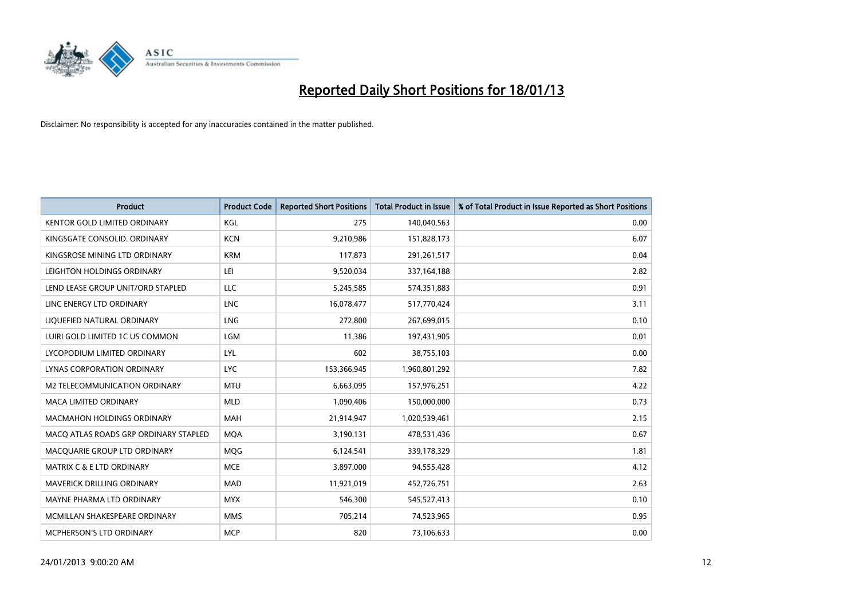

| <b>Product</b>                        | <b>Product Code</b> | <b>Reported Short Positions</b> | <b>Total Product in Issue</b> | % of Total Product in Issue Reported as Short Positions |
|---------------------------------------|---------------------|---------------------------------|-------------------------------|---------------------------------------------------------|
| <b>KENTOR GOLD LIMITED ORDINARY</b>   | KGL                 | 275                             | 140,040,563                   | 0.00                                                    |
| KINGSGATE CONSOLID. ORDINARY          | <b>KCN</b>          | 9,210,986                       | 151,828,173                   | 6.07                                                    |
| KINGSROSE MINING LTD ORDINARY         | <b>KRM</b>          | 117,873                         | 291,261,517                   | 0.04                                                    |
| LEIGHTON HOLDINGS ORDINARY            | LEI                 | 9,520,034                       | 337, 164, 188                 | 2.82                                                    |
| LEND LEASE GROUP UNIT/ORD STAPLED     | LLC                 | 5,245,585                       | 574,351,883                   | 0.91                                                    |
| LINC ENERGY LTD ORDINARY              | <b>LNC</b>          | 16,078,477                      | 517,770,424                   | 3.11                                                    |
| LIQUEFIED NATURAL ORDINARY            | <b>LNG</b>          | 272,800                         | 267,699,015                   | 0.10                                                    |
| LUIRI GOLD LIMITED 1C US COMMON       | <b>LGM</b>          | 11,386                          | 197,431,905                   | 0.01                                                    |
| LYCOPODIUM LIMITED ORDINARY           | LYL                 | 602                             | 38,755,103                    | 0.00                                                    |
| LYNAS CORPORATION ORDINARY            | <b>LYC</b>          | 153,366,945                     | 1,960,801,292                 | 7.82                                                    |
| M2 TELECOMMUNICATION ORDINARY         | <b>MTU</b>          | 6,663,095                       | 157,976,251                   | 4.22                                                    |
| <b>MACA LIMITED ORDINARY</b>          | <b>MLD</b>          | 1,090,406                       | 150,000,000                   | 0.73                                                    |
| <b>MACMAHON HOLDINGS ORDINARY</b>     | <b>MAH</b>          | 21,914,947                      | 1,020,539,461                 | 2.15                                                    |
| MACQ ATLAS ROADS GRP ORDINARY STAPLED | <b>MOA</b>          | 3,190,131                       | 478,531,436                   | 0.67                                                    |
| MACQUARIE GROUP LTD ORDINARY          | <b>MOG</b>          | 6,124,541                       | 339,178,329                   | 1.81                                                    |
| MATRIX C & E LTD ORDINARY             | <b>MCE</b>          | 3,897,000                       | 94,555,428                    | 4.12                                                    |
| <b>MAVERICK DRILLING ORDINARY</b>     | <b>MAD</b>          | 11,921,019                      | 452,726,751                   | 2.63                                                    |
| MAYNE PHARMA LTD ORDINARY             | <b>MYX</b>          | 546,300                         | 545,527,413                   | 0.10                                                    |
| MCMILLAN SHAKESPEARE ORDINARY         | <b>MMS</b>          | 705,214                         | 74,523,965                    | 0.95                                                    |
| <b>MCPHERSON'S LTD ORDINARY</b>       | <b>MCP</b>          | 820                             | 73,106,633                    | 0.00                                                    |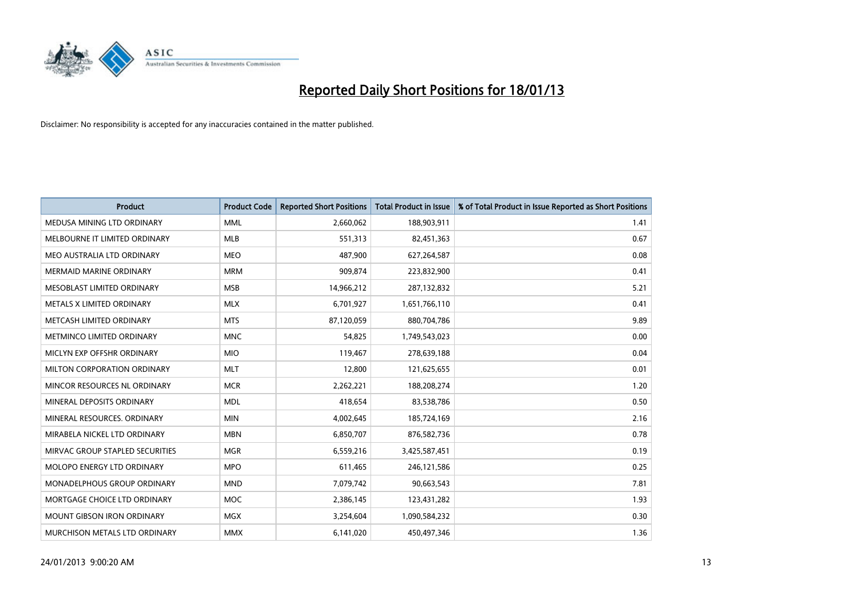

| <b>Product</b>                    | <b>Product Code</b> | <b>Reported Short Positions</b> | <b>Total Product in Issue</b> | % of Total Product in Issue Reported as Short Positions |
|-----------------------------------|---------------------|---------------------------------|-------------------------------|---------------------------------------------------------|
| MEDUSA MINING LTD ORDINARY        | <b>MML</b>          | 2,660,062                       | 188,903,911                   | 1.41                                                    |
| MELBOURNE IT LIMITED ORDINARY     | <b>MLB</b>          | 551,313                         | 82,451,363                    | 0.67                                                    |
| MEO AUSTRALIA LTD ORDINARY        | <b>MEO</b>          | 487,900                         | 627,264,587                   | 0.08                                                    |
| MERMAID MARINE ORDINARY           | <b>MRM</b>          | 909,874                         | 223,832,900                   | 0.41                                                    |
| MESOBLAST LIMITED ORDINARY        | <b>MSB</b>          | 14,966,212                      | 287,132,832                   | 5.21                                                    |
| METALS X LIMITED ORDINARY         | <b>MLX</b>          | 6,701,927                       | 1,651,766,110                 | 0.41                                                    |
| METCASH LIMITED ORDINARY          | <b>MTS</b>          | 87,120,059                      | 880,704,786                   | 9.89                                                    |
| METMINCO LIMITED ORDINARY         | <b>MNC</b>          | 54.825                          | 1,749,543,023                 | 0.00                                                    |
| MICLYN EXP OFFSHR ORDINARY        | <b>MIO</b>          | 119,467                         | 278,639,188                   | 0.04                                                    |
| MILTON CORPORATION ORDINARY       | <b>MLT</b>          | 12,800                          | 121,625,655                   | 0.01                                                    |
| MINCOR RESOURCES NL ORDINARY      | <b>MCR</b>          | 2,262,221                       | 188,208,274                   | 1.20                                                    |
| MINERAL DEPOSITS ORDINARY         | <b>MDL</b>          | 418,654                         | 83,538,786                    | 0.50                                                    |
| MINERAL RESOURCES, ORDINARY       | <b>MIN</b>          | 4,002,645                       | 185,724,169                   | 2.16                                                    |
| MIRABELA NICKEL LTD ORDINARY      | <b>MBN</b>          | 6,850,707                       | 876,582,736                   | 0.78                                                    |
| MIRVAC GROUP STAPLED SECURITIES   | <b>MGR</b>          | 6,559,216                       | 3,425,587,451                 | 0.19                                                    |
| MOLOPO ENERGY LTD ORDINARY        | <b>MPO</b>          | 611,465                         | 246,121,586                   | 0.25                                                    |
| MONADELPHOUS GROUP ORDINARY       | <b>MND</b>          | 7,079,742                       | 90,663,543                    | 7.81                                                    |
| MORTGAGE CHOICE LTD ORDINARY      | <b>MOC</b>          | 2,386,145                       | 123,431,282                   | 1.93                                                    |
| <b>MOUNT GIBSON IRON ORDINARY</b> | <b>MGX</b>          | 3,254,604                       | 1,090,584,232                 | 0.30                                                    |
| MURCHISON METALS LTD ORDINARY     | <b>MMX</b>          | 6,141,020                       | 450,497,346                   | 1.36                                                    |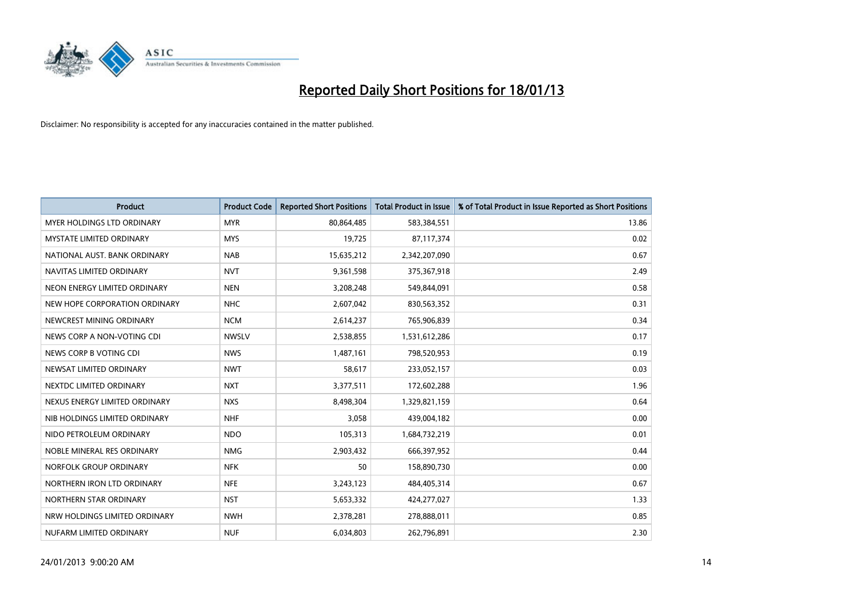

| <b>Product</b>                    | <b>Product Code</b> | <b>Reported Short Positions</b> | <b>Total Product in Issue</b> | % of Total Product in Issue Reported as Short Positions |
|-----------------------------------|---------------------|---------------------------------|-------------------------------|---------------------------------------------------------|
| <b>MYER HOLDINGS LTD ORDINARY</b> | <b>MYR</b>          | 80,864,485                      | 583,384,551                   | 13.86                                                   |
| <b>MYSTATE LIMITED ORDINARY</b>   | <b>MYS</b>          | 19,725                          | 87,117,374                    | 0.02                                                    |
| NATIONAL AUST, BANK ORDINARY      | <b>NAB</b>          | 15,635,212                      | 2,342,207,090                 | 0.67                                                    |
| NAVITAS LIMITED ORDINARY          | <b>NVT</b>          | 9,361,598                       | 375,367,918                   | 2.49                                                    |
| NEON ENERGY LIMITED ORDINARY      | <b>NEN</b>          | 3,208,248                       | 549,844,091                   | 0.58                                                    |
| NEW HOPE CORPORATION ORDINARY     | <b>NHC</b>          | 2,607,042                       | 830,563,352                   | 0.31                                                    |
| NEWCREST MINING ORDINARY          | <b>NCM</b>          | 2,614,237                       | 765,906,839                   | 0.34                                                    |
| NEWS CORP A NON-VOTING CDI        | <b>NWSLV</b>        | 2,538,855                       | 1,531,612,286                 | 0.17                                                    |
| NEWS CORP B VOTING CDI            | <b>NWS</b>          | 1,487,161                       | 798,520,953                   | 0.19                                                    |
| NEWSAT LIMITED ORDINARY           | <b>NWT</b>          | 58,617                          | 233,052,157                   | 0.03                                                    |
| NEXTDC LIMITED ORDINARY           | <b>NXT</b>          | 3,377,511                       | 172,602,288                   | 1.96                                                    |
| NEXUS ENERGY LIMITED ORDINARY     | <b>NXS</b>          | 8,498,304                       | 1,329,821,159                 | 0.64                                                    |
| NIB HOLDINGS LIMITED ORDINARY     | <b>NHF</b>          | 3,058                           | 439,004,182                   | 0.00                                                    |
| NIDO PETROLEUM ORDINARY           | <b>NDO</b>          | 105,313                         | 1,684,732,219                 | 0.01                                                    |
| NOBLE MINERAL RES ORDINARY        | <b>NMG</b>          | 2,903,432                       | 666,397,952                   | 0.44                                                    |
| NORFOLK GROUP ORDINARY            | <b>NFK</b>          | 50                              | 158,890,730                   | 0.00                                                    |
| NORTHERN IRON LTD ORDINARY        | <b>NFE</b>          | 3,243,123                       | 484,405,314                   | 0.67                                                    |
| NORTHERN STAR ORDINARY            | <b>NST</b>          | 5,653,332                       | 424,277,027                   | 1.33                                                    |
| NRW HOLDINGS LIMITED ORDINARY     | <b>NWH</b>          | 2,378,281                       | 278,888,011                   | 0.85                                                    |
| NUFARM LIMITED ORDINARY           | <b>NUF</b>          | 6,034,803                       | 262,796,891                   | 2.30                                                    |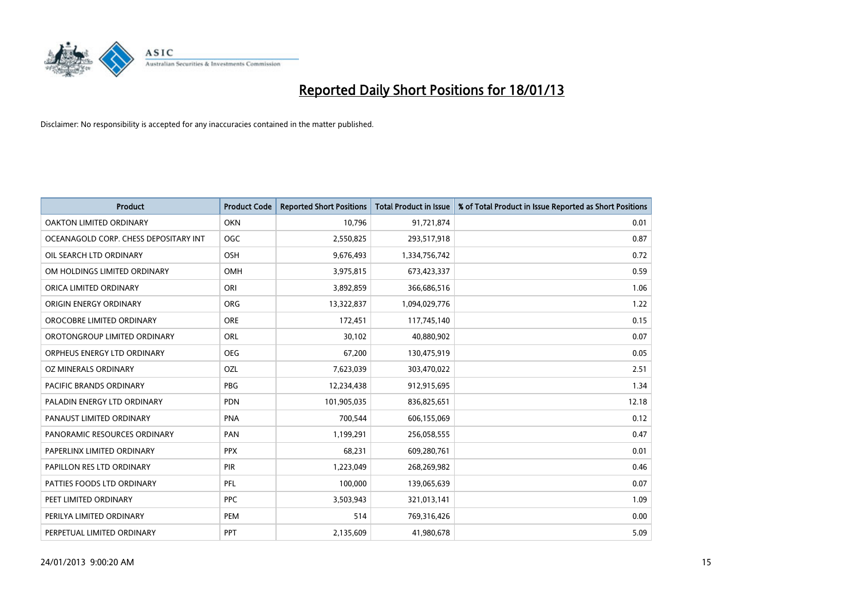

| <b>Product</b>                        | <b>Product Code</b> | <b>Reported Short Positions</b> | <b>Total Product in Issue</b> | % of Total Product in Issue Reported as Short Positions |
|---------------------------------------|---------------------|---------------------------------|-------------------------------|---------------------------------------------------------|
| <b>OAKTON LIMITED ORDINARY</b>        | <b>OKN</b>          | 10,796                          | 91,721,874                    | 0.01                                                    |
| OCEANAGOLD CORP. CHESS DEPOSITARY INT | <b>OGC</b>          | 2,550,825                       | 293,517,918                   | 0.87                                                    |
| OIL SEARCH LTD ORDINARY               | <b>OSH</b>          | 9,676,493                       | 1,334,756,742                 | 0.72                                                    |
| OM HOLDINGS LIMITED ORDINARY          | <b>OMH</b>          | 3,975,815                       | 673,423,337                   | 0.59                                                    |
| ORICA LIMITED ORDINARY                | ORI                 | 3,892,859                       | 366,686,516                   | 1.06                                                    |
| ORIGIN ENERGY ORDINARY                | <b>ORG</b>          | 13,322,837                      | 1,094,029,776                 | 1.22                                                    |
| OROCOBRE LIMITED ORDINARY             | <b>ORE</b>          | 172,451                         | 117,745,140                   | 0.15                                                    |
| OROTONGROUP LIMITED ORDINARY          | ORL                 | 30,102                          | 40,880,902                    | 0.07                                                    |
| ORPHEUS ENERGY LTD ORDINARY           | <b>OEG</b>          | 67,200                          | 130,475,919                   | 0.05                                                    |
| OZ MINERALS ORDINARY                  | OZL                 | 7,623,039                       | 303,470,022                   | 2.51                                                    |
| PACIFIC BRANDS ORDINARY               | <b>PBG</b>          | 12,234,438                      | 912,915,695                   | 1.34                                                    |
| PALADIN ENERGY LTD ORDINARY           | <b>PDN</b>          | 101,905,035                     | 836,825,651                   | 12.18                                                   |
| PANAUST LIMITED ORDINARY              | <b>PNA</b>          | 700,544                         | 606,155,069                   | 0.12                                                    |
| PANORAMIC RESOURCES ORDINARY          | PAN                 | 1,199,291                       | 256,058,555                   | 0.47                                                    |
| PAPERLINX LIMITED ORDINARY            | <b>PPX</b>          | 68,231                          | 609,280,761                   | 0.01                                                    |
| PAPILLON RES LTD ORDINARY             | PIR                 | 1,223,049                       | 268,269,982                   | 0.46                                                    |
| PATTIES FOODS LTD ORDINARY            | PFL                 | 100,000                         | 139,065,639                   | 0.07                                                    |
| PEET LIMITED ORDINARY                 | <b>PPC</b>          | 3,503,943                       | 321,013,141                   | 1.09                                                    |
| PERILYA LIMITED ORDINARY              | PEM                 | 514                             | 769,316,426                   | 0.00                                                    |
| PERPETUAL LIMITED ORDINARY            | <b>PPT</b>          | 2,135,609                       | 41,980,678                    | 5.09                                                    |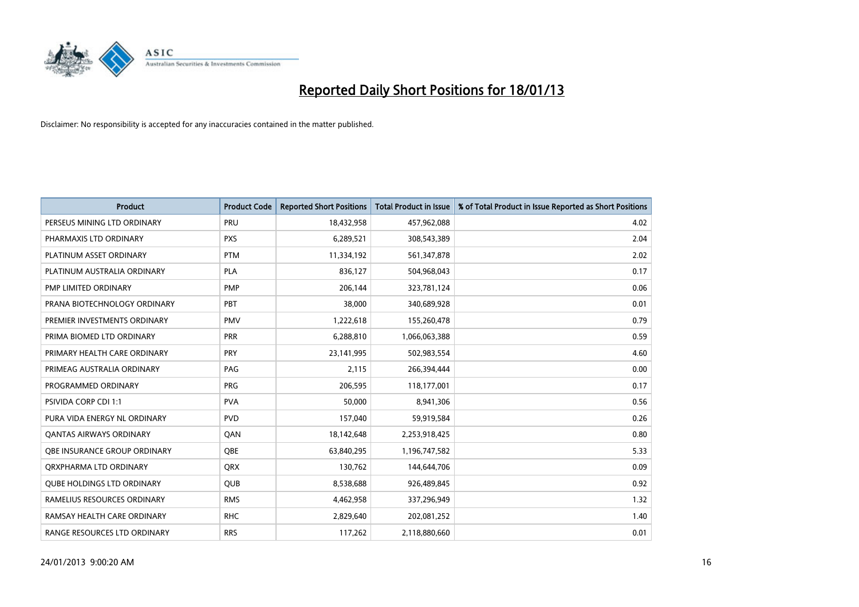

| <b>Product</b>                    | <b>Product Code</b> | <b>Reported Short Positions</b> | <b>Total Product in Issue</b> | % of Total Product in Issue Reported as Short Positions |
|-----------------------------------|---------------------|---------------------------------|-------------------------------|---------------------------------------------------------|
| PERSEUS MINING LTD ORDINARY       | PRU                 | 18,432,958                      | 457,962,088                   | 4.02                                                    |
| PHARMAXIS LTD ORDINARY            | <b>PXS</b>          | 6,289,521                       | 308,543,389                   | 2.04                                                    |
| PLATINUM ASSET ORDINARY           | <b>PTM</b>          | 11,334,192                      | 561,347,878                   | 2.02                                                    |
| PLATINUM AUSTRALIA ORDINARY       | <b>PLA</b>          | 836,127                         | 504,968,043                   | 0.17                                                    |
| PMP LIMITED ORDINARY              | <b>PMP</b>          | 206,144                         | 323,781,124                   | 0.06                                                    |
| PRANA BIOTECHNOLOGY ORDINARY      | PBT                 | 38,000                          | 340,689,928                   | 0.01                                                    |
| PREMIER INVESTMENTS ORDINARY      | <b>PMV</b>          | 1,222,618                       | 155,260,478                   | 0.79                                                    |
| PRIMA BIOMED LTD ORDINARY         | <b>PRR</b>          | 6,288,810                       | 1,066,063,388                 | 0.59                                                    |
| PRIMARY HEALTH CARE ORDINARY      | <b>PRY</b>          | 23,141,995                      | 502,983,554                   | 4.60                                                    |
| PRIMEAG AUSTRALIA ORDINARY        | PAG                 | 2,115                           | 266,394,444                   | 0.00                                                    |
| PROGRAMMED ORDINARY               | <b>PRG</b>          | 206,595                         | 118,177,001                   | 0.17                                                    |
| <b>PSIVIDA CORP CDI 1:1</b>       | <b>PVA</b>          | 50,000                          | 8,941,306                     | 0.56                                                    |
| PURA VIDA ENERGY NL ORDINARY      | <b>PVD</b>          | 157,040                         | 59,919,584                    | 0.26                                                    |
| <b>QANTAS AIRWAYS ORDINARY</b>    | QAN                 | 18,142,648                      | 2,253,918,425                 | 0.80                                                    |
| OBE INSURANCE GROUP ORDINARY      | <b>OBE</b>          | 63,840,295                      | 1,196,747,582                 | 5.33                                                    |
| ORXPHARMA LTD ORDINARY            | <b>ORX</b>          | 130,762                         | 144,644,706                   | 0.09                                                    |
| <b>QUBE HOLDINGS LTD ORDINARY</b> | <b>QUB</b>          | 8,538,688                       | 926,489,845                   | 0.92                                                    |
| RAMELIUS RESOURCES ORDINARY       | <b>RMS</b>          | 4,462,958                       | 337,296,949                   | 1.32                                                    |
| RAMSAY HEALTH CARE ORDINARY       | <b>RHC</b>          | 2,829,640                       | 202,081,252                   | 1.40                                                    |
| RANGE RESOURCES LTD ORDINARY      | <b>RRS</b>          | 117,262                         | 2,118,880,660                 | 0.01                                                    |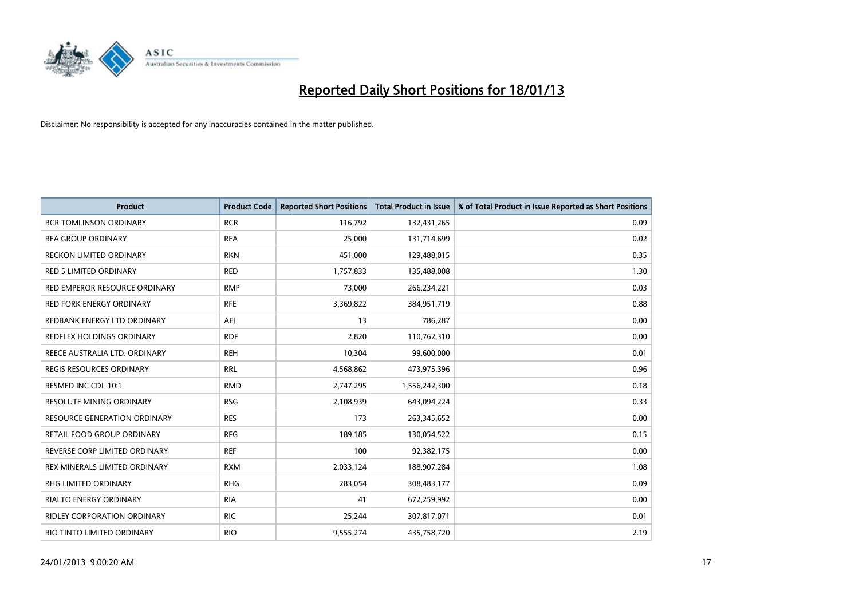

| <b>Product</b>                      | <b>Product Code</b> | <b>Reported Short Positions</b> | <b>Total Product in Issue</b> | % of Total Product in Issue Reported as Short Positions |
|-------------------------------------|---------------------|---------------------------------|-------------------------------|---------------------------------------------------------|
| <b>RCR TOMLINSON ORDINARY</b>       | <b>RCR</b>          | 116,792                         | 132,431,265                   | 0.09                                                    |
| <b>REA GROUP ORDINARY</b>           | <b>REA</b>          | 25,000                          | 131,714,699                   | 0.02                                                    |
| <b>RECKON LIMITED ORDINARY</b>      | <b>RKN</b>          | 451,000                         | 129,488,015                   | 0.35                                                    |
| RED 5 LIMITED ORDINARY              | <b>RED</b>          | 1,757,833                       | 135,488,008                   | 1.30                                                    |
| RED EMPEROR RESOURCE ORDINARY       | <b>RMP</b>          | 73,000                          | 266,234,221                   | 0.03                                                    |
| <b>RED FORK ENERGY ORDINARY</b>     | <b>RFE</b>          | 3,369,822                       | 384,951,719                   | 0.88                                                    |
| REDBANK ENERGY LTD ORDINARY         | AEJ                 | 13                              | 786,287                       | 0.00                                                    |
| <b>REDFLEX HOLDINGS ORDINARY</b>    | <b>RDF</b>          | 2,820                           | 110,762,310                   | 0.00                                                    |
| REECE AUSTRALIA LTD. ORDINARY       | <b>REH</b>          | 10,304                          | 99,600,000                    | 0.01                                                    |
| <b>REGIS RESOURCES ORDINARY</b>     | <b>RRL</b>          | 4,568,862                       | 473,975,396                   | 0.96                                                    |
| RESMED INC CDI 10:1                 | <b>RMD</b>          | 2,747,295                       | 1,556,242,300                 | 0.18                                                    |
| <b>RESOLUTE MINING ORDINARY</b>     | <b>RSG</b>          | 2,108,939                       | 643,094,224                   | 0.33                                                    |
| <b>RESOURCE GENERATION ORDINARY</b> | <b>RES</b>          | 173                             | 263,345,652                   | 0.00                                                    |
| RETAIL FOOD GROUP ORDINARY          | <b>RFG</b>          | 189,185                         | 130,054,522                   | 0.15                                                    |
| REVERSE CORP LIMITED ORDINARY       | <b>REF</b>          | 100                             | 92,382,175                    | 0.00                                                    |
| REX MINERALS LIMITED ORDINARY       | <b>RXM</b>          | 2,033,124                       | 188,907,284                   | 1.08                                                    |
| RHG LIMITED ORDINARY                | <b>RHG</b>          | 283,054                         | 308,483,177                   | 0.09                                                    |
| RIALTO ENERGY ORDINARY              | <b>RIA</b>          | 41                              | 672,259,992                   | 0.00                                                    |
| <b>RIDLEY CORPORATION ORDINARY</b>  | <b>RIC</b>          | 25,244                          | 307,817,071                   | 0.01                                                    |
| RIO TINTO LIMITED ORDINARY          | <b>RIO</b>          | 9,555,274                       | 435,758,720                   | 2.19                                                    |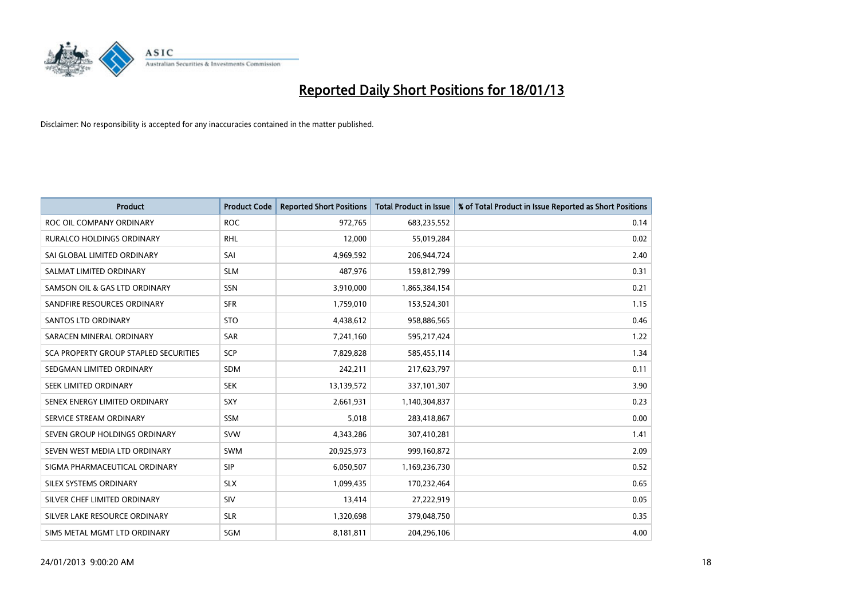

| <b>Product</b>                        | <b>Product Code</b> | <b>Reported Short Positions</b> | <b>Total Product in Issue</b> | % of Total Product in Issue Reported as Short Positions |
|---------------------------------------|---------------------|---------------------------------|-------------------------------|---------------------------------------------------------|
| ROC OIL COMPANY ORDINARY              | <b>ROC</b>          | 972,765                         | 683,235,552                   | 0.14                                                    |
| RURALCO HOLDINGS ORDINARY             | <b>RHL</b>          | 12,000                          | 55,019,284                    | 0.02                                                    |
| SAI GLOBAL LIMITED ORDINARY           | SAI                 | 4,969,592                       | 206,944,724                   | 2.40                                                    |
| SALMAT LIMITED ORDINARY               | <b>SLM</b>          | 487,976                         | 159,812,799                   | 0.31                                                    |
| SAMSON OIL & GAS LTD ORDINARY         | SSN                 | 3,910,000                       | 1,865,384,154                 | 0.21                                                    |
| SANDFIRE RESOURCES ORDINARY           | <b>SFR</b>          | 1,759,010                       | 153,524,301                   | 1.15                                                    |
| <b>SANTOS LTD ORDINARY</b>            | <b>STO</b>          | 4,438,612                       | 958,886,565                   | 0.46                                                    |
| SARACEN MINERAL ORDINARY              | SAR                 | 7,241,160                       | 595,217,424                   | 1.22                                                    |
| SCA PROPERTY GROUP STAPLED SECURITIES | <b>SCP</b>          | 7,829,828                       | 585,455,114                   | 1.34                                                    |
| SEDGMAN LIMITED ORDINARY              | <b>SDM</b>          | 242,211                         | 217,623,797                   | 0.11                                                    |
| SEEK LIMITED ORDINARY                 | <b>SEK</b>          | 13,139,572                      | 337,101,307                   | 3.90                                                    |
| SENEX ENERGY LIMITED ORDINARY         | <b>SXY</b>          | 2,661,931                       | 1,140,304,837                 | 0.23                                                    |
| SERVICE STREAM ORDINARY               | <b>SSM</b>          | 5,018                           | 283,418,867                   | 0.00                                                    |
| SEVEN GROUP HOLDINGS ORDINARY         | <b>SVW</b>          | 4,343,286                       | 307,410,281                   | 1.41                                                    |
| SEVEN WEST MEDIA LTD ORDINARY         | <b>SWM</b>          | 20,925,973                      | 999,160,872                   | 2.09                                                    |
| SIGMA PHARMACEUTICAL ORDINARY         | <b>SIP</b>          | 6,050,507                       | 1,169,236,730                 | 0.52                                                    |
| SILEX SYSTEMS ORDINARY                | <b>SLX</b>          | 1,099,435                       | 170,232,464                   | 0.65                                                    |
| SILVER CHEF LIMITED ORDINARY          | SIV                 | 13,414                          | 27,222,919                    | 0.05                                                    |
| SILVER LAKE RESOURCE ORDINARY         | <b>SLR</b>          | 1,320,698                       | 379,048,750                   | 0.35                                                    |
| SIMS METAL MGMT LTD ORDINARY          | <b>SGM</b>          | 8,181,811                       | 204,296,106                   | 4.00                                                    |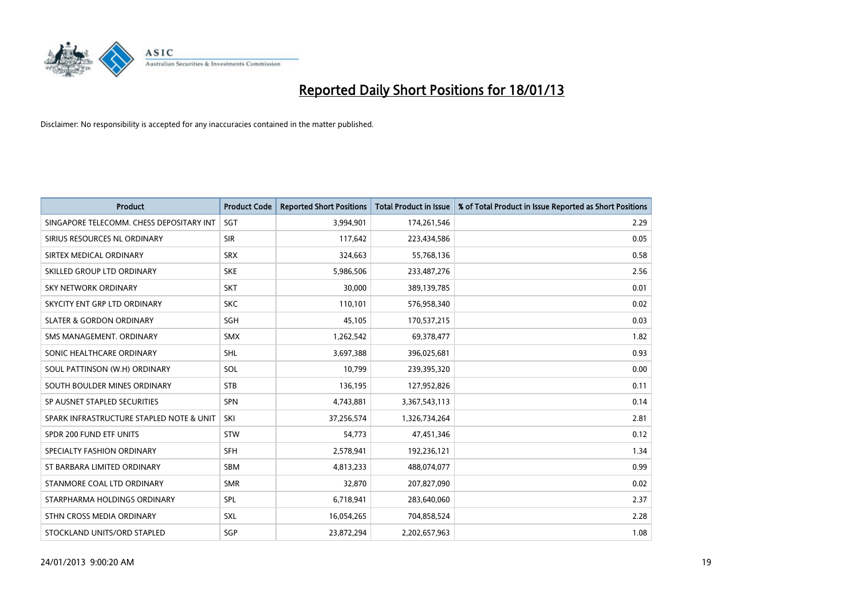

| <b>Product</b>                           | <b>Product Code</b> | <b>Reported Short Positions</b> | <b>Total Product in Issue</b> | % of Total Product in Issue Reported as Short Positions |
|------------------------------------------|---------------------|---------------------------------|-------------------------------|---------------------------------------------------------|
| SINGAPORE TELECOMM. CHESS DEPOSITARY INT | <b>SGT</b>          | 3,994,901                       | 174,261,546                   | 2.29                                                    |
| SIRIUS RESOURCES NL ORDINARY             | <b>SIR</b>          | 117,642                         | 223,434,586                   | 0.05                                                    |
| SIRTEX MEDICAL ORDINARY                  | <b>SRX</b>          | 324,663                         | 55,768,136                    | 0.58                                                    |
| SKILLED GROUP LTD ORDINARY               | <b>SKE</b>          | 5,986,506                       | 233,487,276                   | 2.56                                                    |
| <b>SKY NETWORK ORDINARY</b>              | <b>SKT</b>          | 30,000                          | 389,139,785                   | 0.01                                                    |
| SKYCITY ENT GRP LTD ORDINARY             | <b>SKC</b>          | 110,101                         | 576,958,340                   | 0.02                                                    |
| <b>SLATER &amp; GORDON ORDINARY</b>      | SGH                 | 45,105                          | 170,537,215                   | 0.03                                                    |
| SMS MANAGEMENT, ORDINARY                 | <b>SMX</b>          | 1,262,542                       | 69,378,477                    | 1.82                                                    |
| SONIC HEALTHCARE ORDINARY                | <b>SHL</b>          | 3,697,388                       | 396,025,681                   | 0.93                                                    |
| SOUL PATTINSON (W.H) ORDINARY            | SOL                 | 10,799                          | 239,395,320                   | 0.00                                                    |
| SOUTH BOULDER MINES ORDINARY             | <b>STB</b>          | 136,195                         | 127,952,826                   | 0.11                                                    |
| SP AUSNET STAPLED SECURITIES             | <b>SPN</b>          | 4,743,881                       | 3,367,543,113                 | 0.14                                                    |
| SPARK INFRASTRUCTURE STAPLED NOTE & UNIT | SKI                 | 37,256,574                      | 1,326,734,264                 | 2.81                                                    |
| SPDR 200 FUND ETF UNITS                  | <b>STW</b>          | 54,773                          | 47,451,346                    | 0.12                                                    |
| SPECIALTY FASHION ORDINARY               | <b>SFH</b>          | 2,578,941                       | 192,236,121                   | 1.34                                                    |
| ST BARBARA LIMITED ORDINARY              | <b>SBM</b>          | 4,813,233                       | 488,074,077                   | 0.99                                                    |
| STANMORE COAL LTD ORDINARY               | <b>SMR</b>          | 32,870                          | 207,827,090                   | 0.02                                                    |
| STARPHARMA HOLDINGS ORDINARY             | SPL                 | 6,718,941                       | 283,640,060                   | 2.37                                                    |
| STHN CROSS MEDIA ORDINARY                | <b>SXL</b>          | 16,054,265                      | 704,858,524                   | 2.28                                                    |
| STOCKLAND UNITS/ORD STAPLED              | SGP                 | 23,872,294                      | 2,202,657,963                 | 1.08                                                    |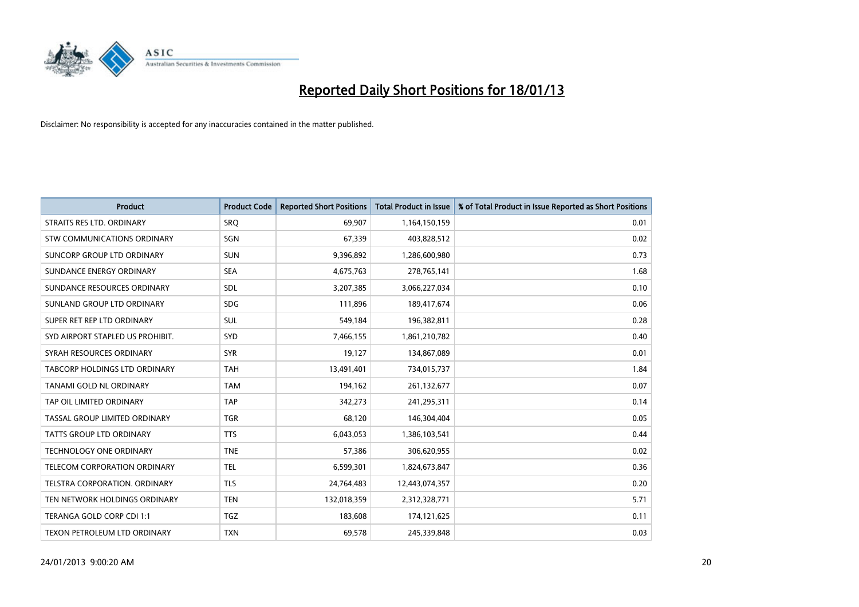

| <b>Product</b>                       | <b>Product Code</b> | <b>Reported Short Positions</b> | <b>Total Product in Issue</b> | % of Total Product in Issue Reported as Short Positions |
|--------------------------------------|---------------------|---------------------------------|-------------------------------|---------------------------------------------------------|
| STRAITS RES LTD. ORDINARY            | SRQ                 | 69,907                          | 1,164,150,159                 | 0.01                                                    |
| STW COMMUNICATIONS ORDINARY          | SGN                 | 67,339                          | 403,828,512                   | 0.02                                                    |
| SUNCORP GROUP LTD ORDINARY           | <b>SUN</b>          | 9,396,892                       | 1,286,600,980                 | 0.73                                                    |
| SUNDANCE ENERGY ORDINARY             | <b>SEA</b>          | 4,675,763                       | 278,765,141                   | 1.68                                                    |
| SUNDANCE RESOURCES ORDINARY          | <b>SDL</b>          | 3,207,385                       | 3,066,227,034                 | 0.10                                                    |
| SUNLAND GROUP LTD ORDINARY           | <b>SDG</b>          | 111,896                         | 189,417,674                   | 0.06                                                    |
| SUPER RET REP LTD ORDINARY           | <b>SUL</b>          | 549,184                         | 196,382,811                   | 0.28                                                    |
| SYD AIRPORT STAPLED US PROHIBIT.     | <b>SYD</b>          | 7,466,155                       | 1,861,210,782                 | 0.40                                                    |
| SYRAH RESOURCES ORDINARY             | <b>SYR</b>          | 19,127                          | 134,867,089                   | 0.01                                                    |
| <b>TABCORP HOLDINGS LTD ORDINARY</b> | <b>TAH</b>          | 13,491,401                      | 734,015,737                   | 1.84                                                    |
| TANAMI GOLD NL ORDINARY              | <b>TAM</b>          | 194,162                         | 261,132,677                   | 0.07                                                    |
| TAP OIL LIMITED ORDINARY             | <b>TAP</b>          | 342,273                         | 241,295,311                   | 0.14                                                    |
| TASSAL GROUP LIMITED ORDINARY        | <b>TGR</b>          | 68,120                          | 146,304,404                   | 0.05                                                    |
| <b>TATTS GROUP LTD ORDINARY</b>      | <b>TTS</b>          | 6,043,053                       | 1,386,103,541                 | 0.44                                                    |
| <b>TECHNOLOGY ONE ORDINARY</b>       | <b>TNE</b>          | 57,386                          | 306,620,955                   | 0.02                                                    |
| TELECOM CORPORATION ORDINARY         | <b>TEL</b>          | 6,599,301                       | 1,824,673,847                 | 0.36                                                    |
| TELSTRA CORPORATION. ORDINARY        | <b>TLS</b>          | 24,764,483                      | 12,443,074,357                | 0.20                                                    |
| TEN NETWORK HOLDINGS ORDINARY        | <b>TEN</b>          | 132,018,359                     | 2,312,328,771                 | 5.71                                                    |
| TERANGA GOLD CORP CDI 1:1            | <b>TGZ</b>          | 183,608                         | 174,121,625                   | 0.11                                                    |
| TEXON PETROLEUM LTD ORDINARY         | <b>TXN</b>          | 69,578                          | 245,339,848                   | 0.03                                                    |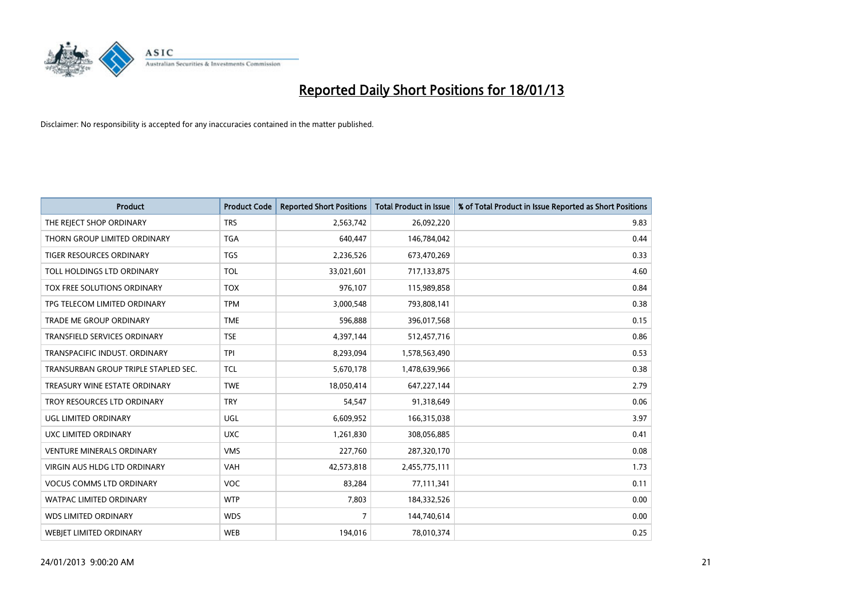

| <b>Product</b>                       | <b>Product Code</b> | <b>Reported Short Positions</b> | <b>Total Product in Issue</b> | % of Total Product in Issue Reported as Short Positions |
|--------------------------------------|---------------------|---------------------------------|-------------------------------|---------------------------------------------------------|
| THE REJECT SHOP ORDINARY             | <b>TRS</b>          | 2,563,742                       | 26,092,220                    | 9.83                                                    |
| THORN GROUP LIMITED ORDINARY         | <b>TGA</b>          | 640,447                         | 146,784,042                   | 0.44                                                    |
| <b>TIGER RESOURCES ORDINARY</b>      | <b>TGS</b>          | 2,236,526                       | 673,470,269                   | 0.33                                                    |
| TOLL HOLDINGS LTD ORDINARY           | <b>TOL</b>          | 33,021,601                      | 717,133,875                   | 4.60                                                    |
| TOX FREE SOLUTIONS ORDINARY          | <b>TOX</b>          | 976,107                         | 115,989,858                   | 0.84                                                    |
| TPG TELECOM LIMITED ORDINARY         | <b>TPM</b>          | 3,000,548                       | 793,808,141                   | 0.38                                                    |
| TRADE ME GROUP ORDINARY              | <b>TME</b>          | 596,888                         | 396,017,568                   | 0.15                                                    |
| TRANSFIELD SERVICES ORDINARY         | <b>TSE</b>          | 4,397,144                       | 512,457,716                   | 0.86                                                    |
| TRANSPACIFIC INDUST, ORDINARY        | <b>TPI</b>          | 8,293,094                       | 1,578,563,490                 | 0.53                                                    |
| TRANSURBAN GROUP TRIPLE STAPLED SEC. | <b>TCL</b>          | 5,670,178                       | 1,478,639,966                 | 0.38                                                    |
| TREASURY WINE ESTATE ORDINARY        | <b>TWE</b>          | 18,050,414                      | 647,227,144                   | 2.79                                                    |
| TROY RESOURCES LTD ORDINARY          | <b>TRY</b>          | 54,547                          | 91,318,649                    | 0.06                                                    |
| UGL LIMITED ORDINARY                 | UGL                 | 6,609,952                       | 166,315,038                   | 3.97                                                    |
| UXC LIMITED ORDINARY                 | <b>UXC</b>          | 1,261,830                       | 308,056,885                   | 0.41                                                    |
| <b>VENTURE MINERALS ORDINARY</b>     | <b>VMS</b>          | 227,760                         | 287,320,170                   | 0.08                                                    |
| VIRGIN AUS HLDG LTD ORDINARY         | VAH                 | 42,573,818                      | 2,455,775,111                 | 1.73                                                    |
| <b>VOCUS COMMS LTD ORDINARY</b>      | <b>VOC</b>          | 83,284                          | 77,111,341                    | 0.11                                                    |
| WATPAC LIMITED ORDINARY              | <b>WTP</b>          | 7,803                           | 184,332,526                   | 0.00                                                    |
| <b>WDS LIMITED ORDINARY</b>          | <b>WDS</b>          | $\overline{7}$                  | 144,740,614                   | 0.00                                                    |
| <b>WEBIET LIMITED ORDINARY</b>       | <b>WEB</b>          | 194,016                         | 78,010,374                    | 0.25                                                    |